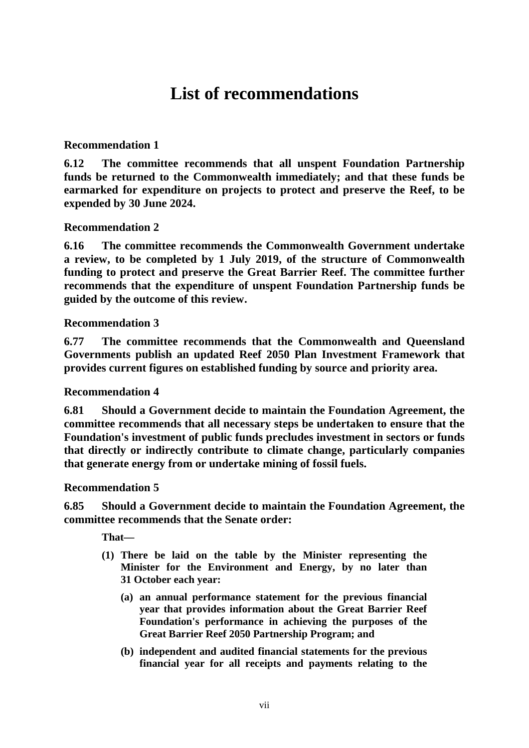# **List of recommendations**

## **Recommendation 1**

**6.12 The committee recommends that all unspent Foundation Partnership funds be returned to the Commonwealth immediately; and that these funds be earmarked for expenditure on projects to protect and preserve the Reef, to be expended by 30 June 2024.**

### **Recommendation 2**

**6.16 The committee recommends the Commonwealth Government undertake a review, to be completed by 1 July 2019, of the structure of Commonwealth funding to protect and preserve the Great Barrier Reef. The committee further recommends that the expenditure of unspent Foundation Partnership funds be guided by the outcome of this review.**

#### **Recommendation 3**

**6.77 The committee recommends that the Commonwealth and Queensland Governments publish an updated Reef 2050 Plan Investment Framework that provides current figures on established funding by source and priority area.**

#### **Recommendation 4**

**6.81 Should a Government decide to maintain the Foundation Agreement, the committee recommends that all necessary steps be undertaken to ensure that the Foundation's investment of public funds precludes investment in sectors or funds that directly or indirectly contribute to climate change, particularly companies that generate energy from or undertake mining of fossil fuels.**

#### **Recommendation 5**

**6.85 Should a Government decide to maintain the Foundation Agreement, the committee recommends that the Senate order:**

**That—**

- **(1) There be laid on the table by the Minister representing the Minister for the Environment and Energy, by no later than 31 October each year:**
	- **(a) an annual performance statement for the previous financial year that provides information about the Great Barrier Reef Foundation's performance in achieving the purposes of the Great Barrier Reef 2050 Partnership Program; and**
	- **(b) independent and audited financial statements for the previous financial year for all receipts and payments relating to the**